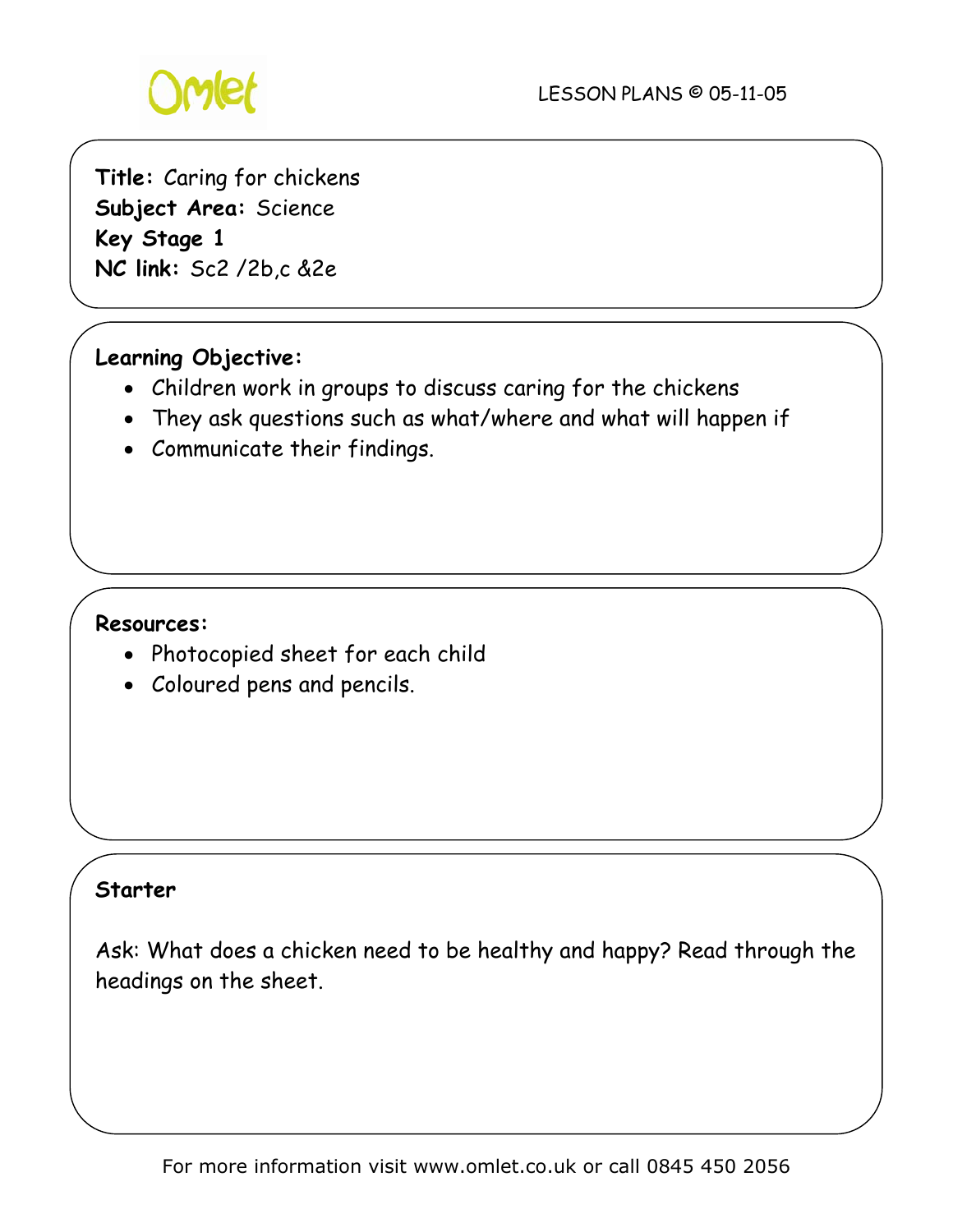

**Title:** Caring for chickens **Subject Area:** Science **Key Stage 1 NC link:** Sc2 /2b,c &2e

# **Learning Objective:**

- Children work in groups to discuss caring for the chickens
- They ask questions such as what/where and what will happen if
- Communicate their findings.

### **Resources:**

- Photocopied sheet for each child
- Coloured pens and pencils.

### **Starter**

Ask: What does a chicken need to be healthy and happy? Read through the headings on the sheet.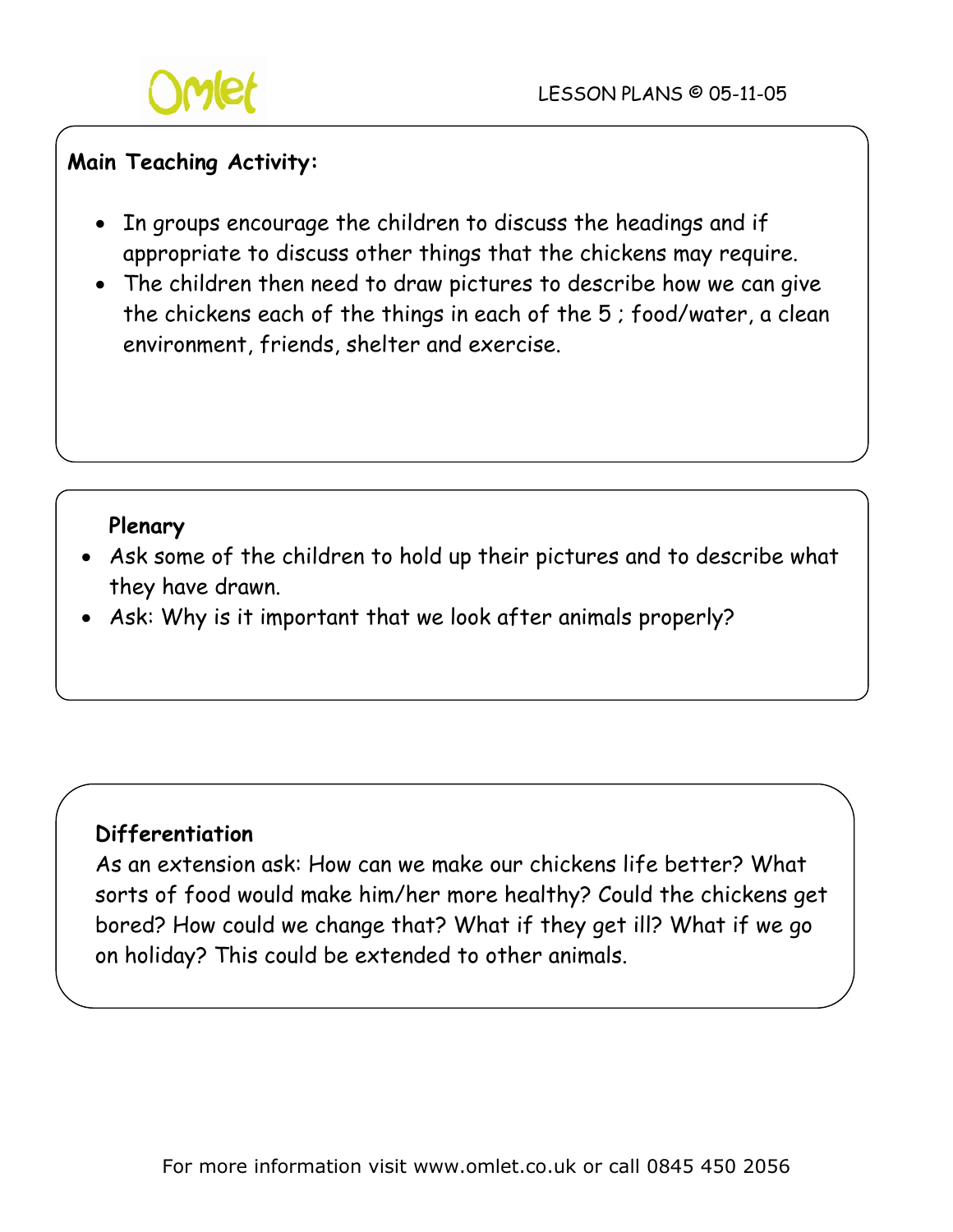

# **Main Teaching Activity:**

- In groups encourage the children to discuss the headings and if appropriate to discuss other things that the chickens may require.
- The children then need to draw pictures to describe how we can give the chickens each of the things in each of the 5 ; food/water, a clean environment, friends, shelter and exercise.

# **Plenary**

- Ask some of the children to hold up their pictures and to describe what they have drawn.
- Ask: Why is it important that we look after animals properly?

# **Differentiation**

As an extension ask: How can we make our chickens life better? What sorts of food would make him/her more healthy? Could the chickens get bored? How could we change that? What if they get ill? What if we go on holiday? This could be extended to other animals.